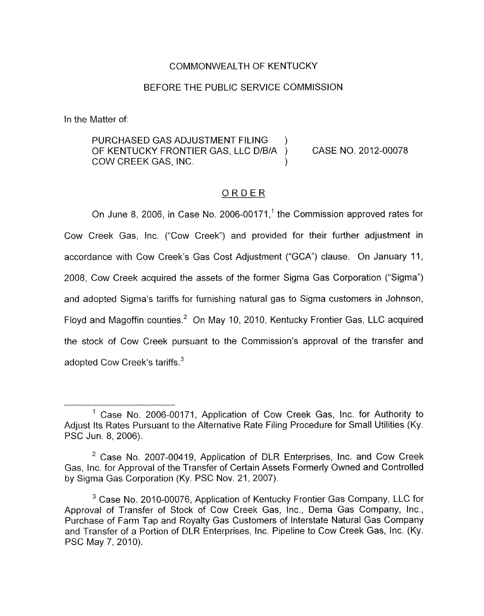### COMMONWEALTH OF KENTUCKY

#### BEFORE THE PUBLIC SERVICE COMMISSION

In the Matter of:

PURCHASED GAS ADJUSTMENT FILING ) OF KENTUCKY FRONTIER GAS, LLC D/B/A ) CASE NO. 2012-00078 COW CREEK GAS, INC. )

#### ORDER

On June 8, 2006, in Case No. 2006-00171, $<sup>1</sup>$  the Commission approved rates for</sup> Cow Creek Gas, Inc. ("Cow Creek") and provided for their further adjustment in accordance with Cow Creek's Gas Cost Adjustment ("GCA") clause. On January 11, 2008, Cow Creek acquired the assets of the former Sigma Gas Corporation ("Sigma") and adopted Sigma's tariffs for furnishing natural gas to Sigma customers in Johnson, Floyd and Magoffin counties.<sup>2</sup> On May 10, 2010, Kentucky Frontier Gas, LLC acquired the stock of Cow Creek pursuant to the Commission's approval of the transfer and adopted Cow Creek's tariffs.<sup>3</sup>

<sup>&</sup>lt;sup>1</sup> Case No. 2006-00171, Application of Cow Creek Gas, Inc. for Authority to Adjust Its Rates Pursuant to the Alternative Rate Filing Procedure for Small Utilities (Ky. PSC Jun. 8, 2006).

<sup>&</sup>lt;sup>2</sup> Case No. 2007-00419, Application of DLR Enterprises, Inc. and Cow Creek Gas, Inc. for Approval of the Transfer of Certain Assets Formerly Owned and Controlled by Sigma Gas Corporation (Ky. PSC Nov. 21, 2007).

 $3$  Case No. 2010-00076, Application of Kentucky Frontier Gas Company, LLC for Approval of Transfer of Stock of Cow Creek Gas, Inc., Dema Gas Company, Inc., Purchase of Farm Tap and Royalty Gas Customers of Interstate Natural Gas Company and Transfer of a Portion of DLR Enterprises, lnc. Pipeline to Cow Creek Gas, Inc. (Ky. PSC May 7, 2010).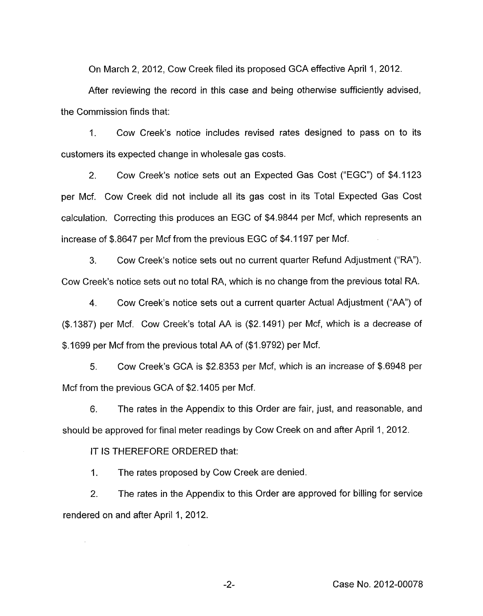On March 2, 2012, Cow Creek filed its proposed GCA effective April 1, 2012.

After reviewing the record in this case and being otherwise sufficiently advised, the Commission finds that:

1. Cow Creek's notice includes revised rates designed to pass on to its customers its expected change in wholesale gas costs.

2. Cow Creek's notice sets out an Expected Gas Cost ("EGC") of \$4.1123 per Mcf. Cow Creek did not include all its gas cost in its Total Expected Gas Cost calculation. Correcting this produces an EGC of \$4.9844 per Mcf, which represents an increase of \$.8647 per Mcf from the previous EGC of \$4.1 197 per Mcf.

3. Cow Creek's notice sets out no current quarter Refund Adjustment ("RA'). Cow Creek's notice sets out no total RA, which is no change from the previous total RA.

Cow Creek's notice sets out a current quarter Actual Adjustment ("AA") of (\$.1387) per Mcf. Cow Creek's total AA is (\$2.1491) per Mcf, which is a decrease of \$.I699 per Mcf from the previous total AA of (\$1.9792) per Mcf. 4.

5. Cow Creek's GCA is \$2.8353 per Mcf, which is an increase of \$.6948 per Mcf from the previous GCA of \$2.1405 per Mcf.

6. The rates in the Appendix to this Order are fair, just, and reasonable, and should be approved for final meter readings by Cow Creek on and after April 1, 2012.

IT IS THEREFORE ORDERED that:

1. The rates proposed by Cow Creek are denied.

2. The rates in the Appendix to this Order are approved for billing for service rendered on and after April 1, 2012.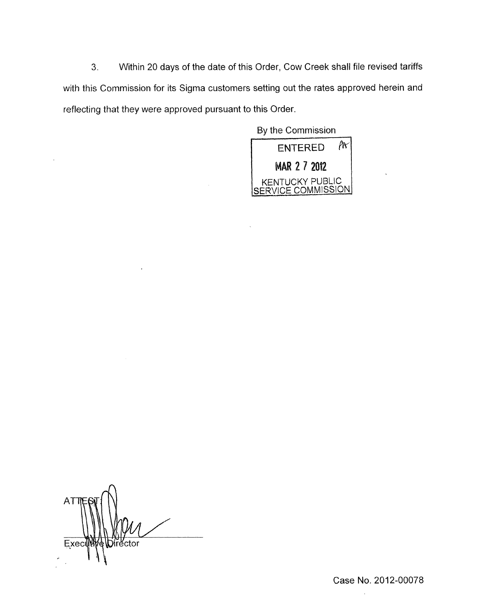**3.** Within 20 days of the date of this Order, Cow Creek shall file revised tariffs with this Commission for its Sigma customers setting out the rates approved herein and reflecting that they were approved pursuant to this Order.

By the Commission



**n**  AT **ExectN** Dírector

 $\ddot{\phantom{0}}$ 

Case No. 2012-00078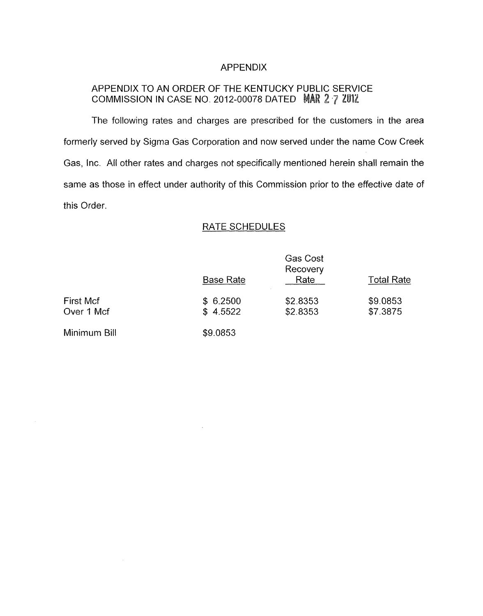## APPENDIX

# APPENDIX TO AN ORDER OF THE KENTUCKY PUBLIC SERVICE COMMISSION IN CASE NO. 2012-00078 DATED MAR 2 7 2012

The following rates and charges are prescribed for the customers in the area formerly served by Sigma Gas Corporation and now served under the name Cow Creek Gas, Inc. All other rates and charges not specifically mentioned herein shall remain the same as those in effect under authority of this Commission prior to the effective date of this Order

## RATE SCHEDULES

|                  | <b>Base Rate</b> | <b>Gas Cost</b><br>Recovery<br>Rate | <b>Total Rate</b> |
|------------------|------------------|-------------------------------------|-------------------|
| <b>First Mcf</b> | \$6.2500         | \$2.8353                            | \$9.0853          |
| Over 1 Mcf       | \$4.5522         | \$2.8353                            | \$7.3875          |
| Minimum Bill     | \$9.0853         |                                     |                   |

 $\sim$